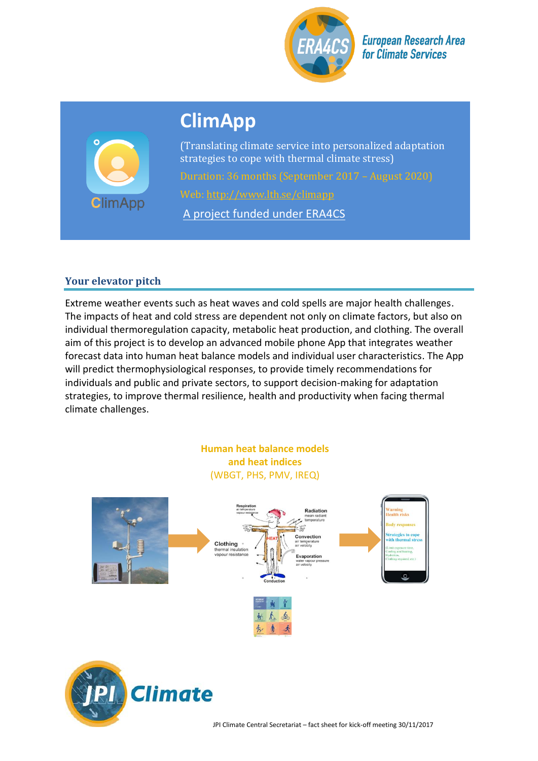

**European Research Area for Climate Services** 

# **ClimApp**



(Translating climate service into personalized adaptation strategies to cope with thermal climate stress)

Web:<http://www.lth.se/climapp>

A project funded under ERA4CS

# **Your elevator pitch**

Extreme weather events such as heat waves and cold spells are major health challenges. The impacts of heat and cold stress are dependent not only on climate factors, but also on individual thermoregulation capacity, metabolic heat production, and clothing. The overall aim of this project is to develop an advanced mobile phone App that integrates weather forecast data into human heat balance models and individual user characteristics. The App will predict thermophysiological responses, to provide timely recommendations for individuals and public and private sectors, to support decision-making for adaptation strategies, to improve thermal resilience, health and productivity when facing thermal climate challenges.

# **Human heat balance models and heat indices** (WBGT, PHS, PMV, IREQ)